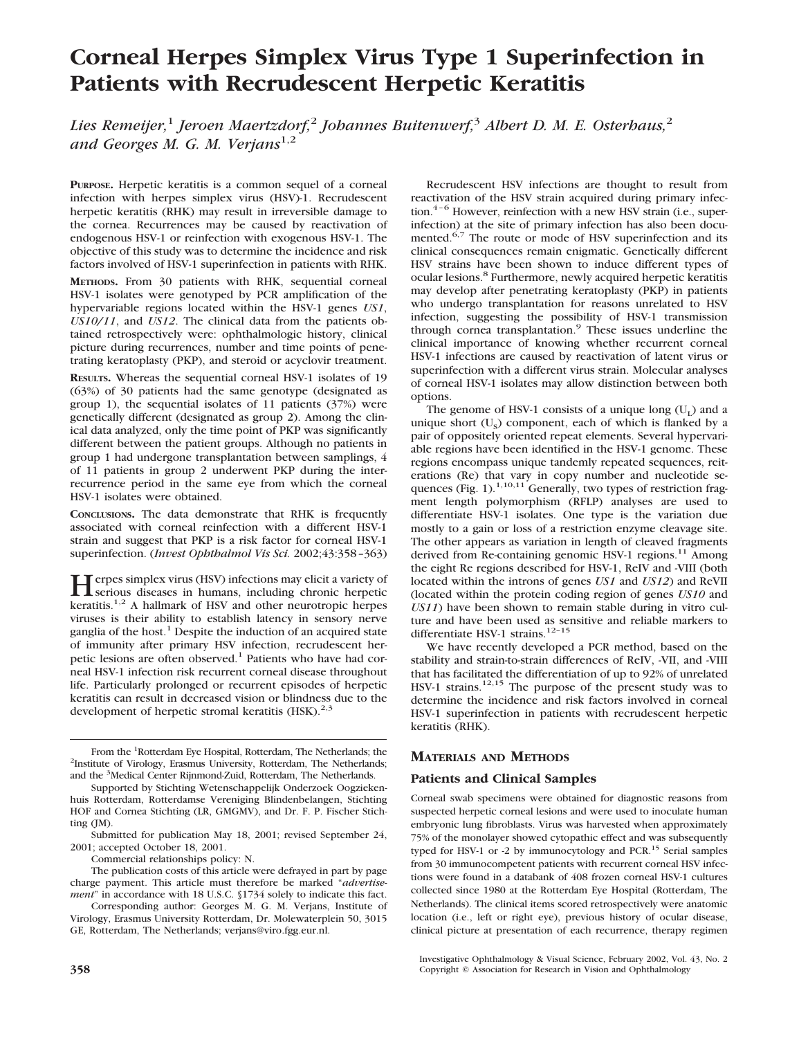# **Corneal Herpes Simplex Virus Type 1 Superinfection in Patients with Recrudescent Herpetic Keratitis**

*Lies Remeijer,*<sup>1</sup> *Jeroen Maertzdorf,*<sup>2</sup> *Johannes Buitenwerf,*<sup>3</sup> *Albert D. M. E. Osterhaus,*<sup>2</sup> *and Georges M. G. M. Verjans*1,2

**PURPOSE.** Herpetic keratitis is a common sequel of a corneal infection with herpes simplex virus (HSV)-1. Recrudescent herpetic keratitis (RHK) may result in irreversible damage to the cornea. Recurrences may be caused by reactivation of endogenous HSV-1 or reinfection with exogenous HSV-1. The objective of this study was to determine the incidence and risk factors involved of HSV-1 superinfection in patients with RHK.

**METHODS.** From 30 patients with RHK, sequential corneal HSV-1 isolates were genotyped by PCR amplification of the hypervariable regions located within the HSV-1 genes *US1*, *US10/11*, and *US12*. The clinical data from the patients obtained retrospectively were: ophthalmologic history, clinical picture during recurrences, number and time points of penetrating keratoplasty (PKP), and steroid or acyclovir treatment.

**RESULTS.** Whereas the sequential corneal HSV-1 isolates of 19 (63%) of 30 patients had the same genotype (designated as group 1), the sequential isolates of 11 patients (37%) were genetically different (designated as group 2). Among the clinical data analyzed, only the time point of PKP was significantly different between the patient groups. Although no patients in group 1 had undergone transplantation between samplings, 4 of 11 patients in group 2 underwent PKP during the interrecurrence period in the same eye from which the corneal HSV-1 isolates were obtained.

**CONCLUSIONS.** The data demonstrate that RHK is frequently associated with corneal reinfection with a different HSV-1 strain and suggest that PKP is a risk factor for corneal HSV-1 superinfection. (*Invest Ophthalmol Vis Sci.* 2002;43:358–363)

**Herpes simplex virus (HSV) infections may elicit a variety of**<br>serious diseases in humans, including chronic herpetic keratitis.<sup>1,2</sup> A hallmark of HSV and other neurotropic herpes viruses is their ability to establish latency in sensory nerve ganglia of the host.<sup>1</sup> Despite the induction of an acquired state of immunity after primary HSV infection, recrudescent herpetic lesions are often observed.<sup>1</sup> Patients who have had corneal HSV-1 infection risk recurrent corneal disease throughout life. Particularly prolonged or recurrent episodes of herpetic keratitis can result in decreased vision or blindness due to the development of herpetic stromal keratitis (HSK).<sup>2,3</sup>

Recrudescent HSV infections are thought to result from reactivation of the HSV strain acquired during primary infection.<sup>4-6</sup> However, reinfection with a new HSV strain (i.e., superinfection) at the site of primary infection has also been documented.<sup>6,7</sup> The route or mode of HSV superinfection and its clinical consequences remain enigmatic. Genetically different HSV strains have been shown to induce different types of ocular lesions.8 Furthermore, newly acquired herpetic keratitis may develop after penetrating keratoplasty (PKP) in patients who undergo transplantation for reasons unrelated to HSV infection, suggesting the possibility of HSV-1 transmission through cornea transplantation.9 These issues underline the clinical importance of knowing whether recurrent corneal HSV-1 infections are caused by reactivation of latent virus or superinfection with a different virus strain. Molecular analyses of corneal HSV-1 isolates may allow distinction between both options.

The genome of HSV-1 consists of a unique long  $(U_1)$  and a unique short  $(U_s)$  component, each of which is flanked by a pair of oppositely oriented repeat elements. Several hypervariable regions have been identified in the HSV-1 genome. These regions encompass unique tandemly repeated sequences, reiterations (Re) that vary in copy number and nucleotide sequences (Fig. 1).<sup>1,10,11</sup> Generally, two types of restriction fragment length polymorphism (RFLP) analyses are used to differentiate HSV-1 isolates. One type is the variation due mostly to a gain or loss of a restriction enzyme cleavage site. The other appears as variation in length of cleaved fragments derived from Re-containing genomic HSV-1 regions.<sup>11</sup> Among the eight Re regions described for HSV-1, ReIV and -VIII (both located within the introns of genes *US1* and *US12*) and ReVII (located within the protein coding region of genes *US10* and *US11*) have been shown to remain stable during in vitro culture and have been used as sensitive and reliable markers to differentiate HSV-1 strains.<sup>12-15</sup>

We have recently developed a PCR method, based on the stability and strain-to-strain differences of ReIV, -VII, and -VIII that has facilitated the differentiation of up to 92% of unrelated HSV-1 strains.<sup>12,15</sup> The purpose of the present study was to determine the incidence and risk factors involved in corneal HSV-1 superinfection in patients with recrudescent herpetic keratitis (RHK).

# **MATERIALS AND METHODS**

# **Patients and Clinical Samples**

Corneal swab specimens were obtained for diagnostic reasons from suspected herpetic corneal lesions and were used to inoculate human embryonic lung fibroblasts. Virus was harvested when approximately 75% of the monolayer showed cytopathic effect and was subsequently typed for HSV-1 or -2 by immunocytology and PCR.<sup>15</sup> Serial samples from 30 immunocompetent patients with recurrent corneal HSV infections were found in a databank of 408 frozen corneal HSV-1 cultures collected since 1980 at the Rotterdam Eye Hospital (Rotterdam, The Netherlands). The clinical items scored retrospectively were anatomic location (i.e., left or right eye), previous history of ocular disease, clinical picture at presentation of each recurrence, therapy regimen

Investigative Ophthalmology & Visual Science, February 2002, Vol. 43, No. 2 **358** Copyright © Association for Research in Vision and Ophthalmology

From the <sup>1</sup>Rotterdam Eye Hospital, Rotterdam, The Netherlands; the <sup>2</sup>Institute of Virology, Erasmus University, Rotterdam, The Netherlands; <sup>2</sup>Institute of Virology, Erasmus University, Rotterdam, The Netherlands; and the <sup>3</sup> Medical Center Rijnmond-Zuid, Rotterdam, The Netherlands.

Supported by Stichting Wetenschappelijk Onderzoek Oogziekenhuis Rotterdam, Rotterdamse Vereniging Blindenbelangen, Stichting HOF and Cornea Stichting (LR, GMGMV), and Dr. F. P. Fischer Stichting (JM).

Submitted for publication May 18, 2001; revised September 24, 2001; accepted October 18, 2001.

Commercial relationships policy: N.

The publication costs of this article were defrayed in part by page charge payment. This article must therefore be marked "*advertisement*" in accordance with 18 U.S.C. §1734 solely to indicate this fact.

Corresponding author: Georges M. G. M. Verjans, Institute of Virology, Erasmus University Rotterdam, Dr. Molewaterplein 50, 3015 GE, Rotterdam, The Netherlands; verjans@viro.fgg.eur.nl.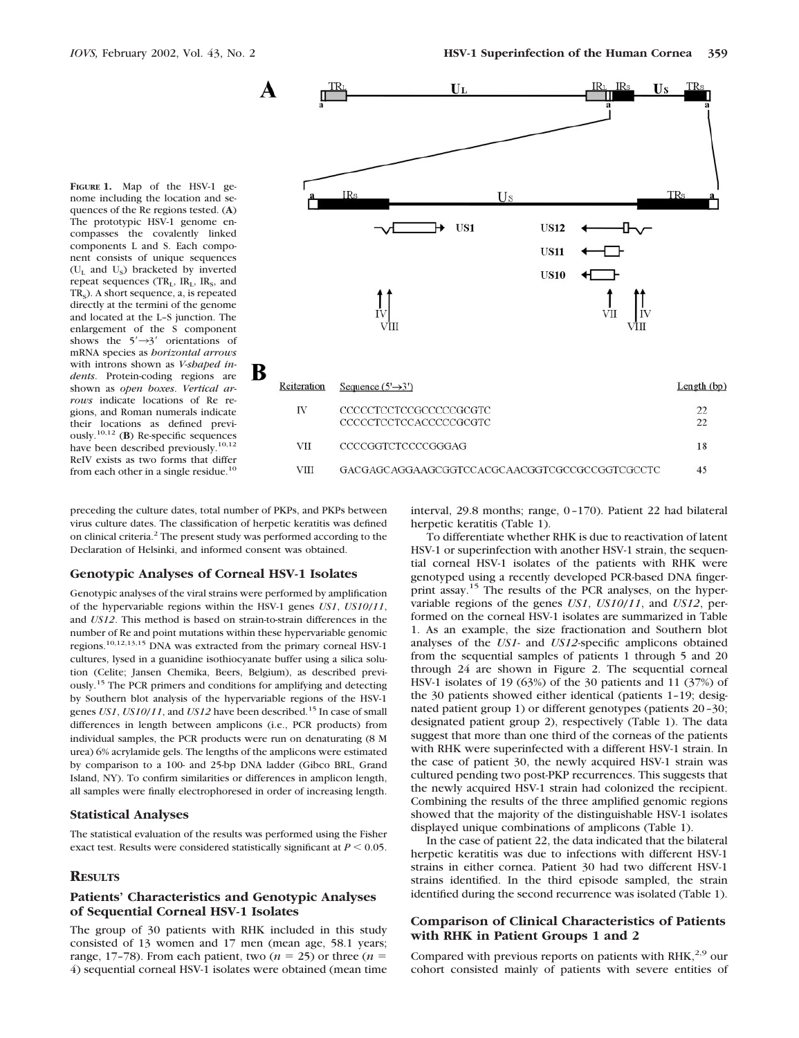**FIGURE 1.** Map of the HSV-1 genome including the location and sequences of the Re regions tested. (**A**) The prototypic HSV-1 genome encompasses the covalently linked components L and S. Each component consists of unique sequences  $(U<sub>r</sub>$  and  $U<sub>s</sub>$ ) bracketed by inverted repeat sequences  $(TR_L, IR_L, IR_S, and$ TR<sub>S</sub>). A short sequence, a, is repeated directly at the termini of the genome and located at the L–S junction. The enlargement of the S component shows the  $5' \rightarrow 3'$  orientations of mRNA species as *horizontal arrows* with introns shown as *V-shaped indents*. Protein-coding regions are shown as *open boxes*. *Vertical arrows* indicate locations of Re regions, and Roman numerals indicate their locations as defined previ-ously.10,12 (**B**) Re-specific sequences have been described previously.<sup>10,12</sup> ReIV exists as two forms that differ from each other in a single residue. $<sup>1</sup>$ </sup>



preceding the culture dates, total number of PKPs, and PKPs between virus culture dates. The classification of herpetic keratitis was defined on clinical criteria.2 The present study was performed according to the Declaration of Helsinki, and informed consent was obtained.

#### **Genotypic Analyses of Corneal HSV-1 Isolates**

Genotypic analyses of the viral strains were performed by amplification of the hypervariable regions within the HSV-1 genes *US1*, *US10*/*11*, and *US12*. This method is based on strain-to-strain differences in the number of Re and point mutations within these hypervariable genomic regions.10,12,13,15 DNA was extracted from the primary corneal HSV-1 cultures, lysed in a guanidine isothiocyanate buffer using a silica solution (Celite; Jansen Chemika, Beers, Belgium), as described previously.15 The PCR primers and conditions for amplifying and detecting by Southern blot analysis of the hypervariable regions of the HSV-1 genes *US1*, *US10*/*11*, and *US12* have been described.15 In case of small differences in length between amplicons (i.e., PCR products) from individual samples, the PCR products were run on denaturating (8 M urea) 6% acrylamide gels. The lengths of the amplicons were estimated by comparison to a 100- and 25-bp DNA ladder (Gibco BRL, Grand Island, NY). To confirm similarities or differences in amplicon length, all samples were finally electrophoresed in order of increasing length.

#### **Statistical Analyses**

The statistical evaluation of the results was performed using the Fisher exact test. Results were considered statistically significant at  $P \leq 0.05$ .

#### **RESULTS**

### **Patients' Characteristics and Genotypic Analyses of Sequential Corneal HSV-1 Isolates**

The group of 30 patients with RHK included in this study consisted of 13 women and 17 men (mean age, 58.1 years; range, 17-78). From each patient, two  $(n = 25)$  or three  $(n = 15)$ 4) sequential corneal HSV-1 isolates were obtained (mean time

interval, 29.8 months; range, 0–170). Patient 22 had bilateral herpetic keratitis (Table 1).

To differentiate whether RHK is due to reactivation of latent HSV-1 or superinfection with another HSV-1 strain, the sequential corneal HSV-1 isolates of the patients with RHK were genotyped using a recently developed PCR-based DNA fingerprint assay.15 The results of the PCR analyses, on the hypervariable regions of the genes *US1*, *US10*/*11*, and *US12*, performed on the corneal HSV-1 isolates are summarized in Table 1. As an example, the size fractionation and Southern blot analyses of the *US1*- and *US12*-specific amplicons obtained from the sequential samples of patients 1 through 5 and 20 through 24 are shown in Figure 2. The sequential corneal HSV-1 isolates of 19 (63%) of the 30 patients and 11 (37%) of the 30 patients showed either identical (patients 1–19; designated patient group 1) or different genotypes (patients 20–30; designated patient group 2), respectively (Table 1). The data suggest that more than one third of the corneas of the patients with RHK were superinfected with a different HSV-1 strain. In the case of patient 30, the newly acquired HSV-1 strain was cultured pending two post-PKP recurrences. This suggests that the newly acquired HSV-1 strain had colonized the recipient. Combining the results of the three amplified genomic regions showed that the majority of the distinguishable HSV-1 isolates displayed unique combinations of amplicons (Table 1).

In the case of patient 22, the data indicated that the bilateral herpetic keratitis was due to infections with different HSV-1 strains in either cornea. Patient 30 had two different HSV-1 strains identified. In the third episode sampled, the strain identified during the second recurrence was isolated (Table 1).

## **Comparison of Clinical Characteristics of Patients with RHK in Patient Groups 1 and 2**

Compared with previous reports on patients with RHK,<sup>2,9</sup> our cohort consisted mainly of patients with severe entities of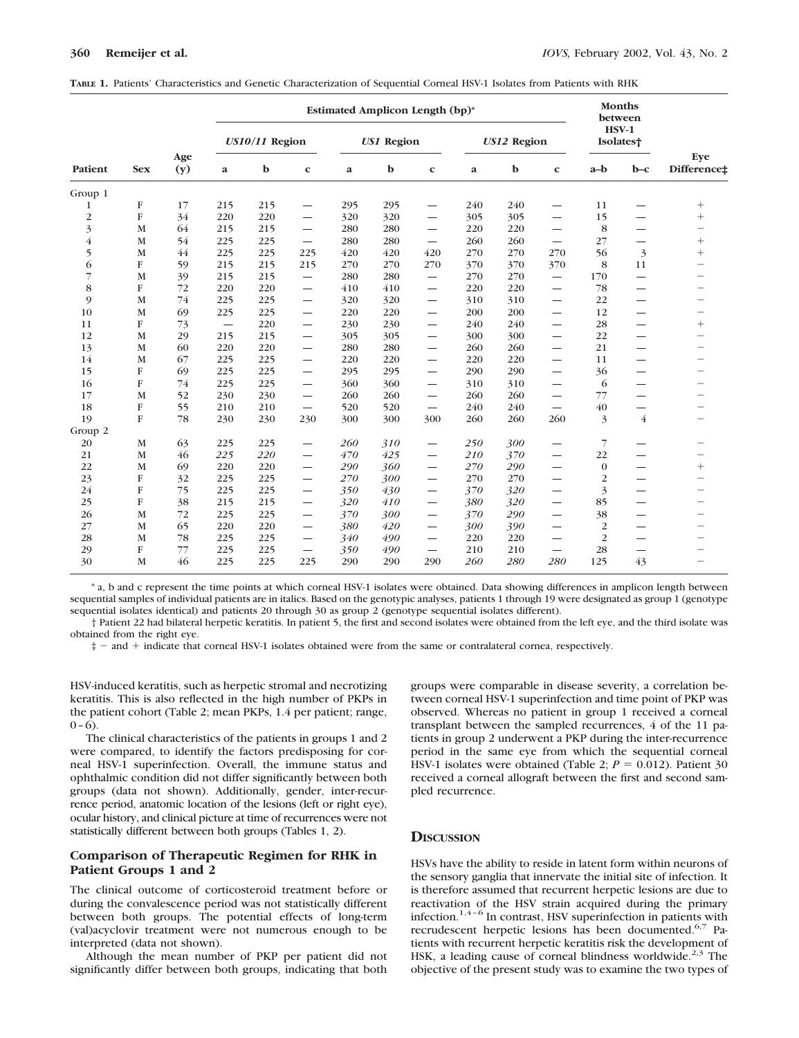| Patient        | <b>Sex</b>  | Age<br>(y) | <b>Estimated Amplicon Length (bp)*</b> |     |                          |            |     |                          |             | <b>Months</b><br>between |                                 |                         |                |                          |
|----------------|-------------|------------|----------------------------------------|-----|--------------------------|------------|-----|--------------------------|-------------|--------------------------|---------------------------------|-------------------------|----------------|--------------------------|
|                |             |            | $US10/11$ Region                       |     |                          | US1 Region |     |                          | US12 Region |                          |                                 | $HSV-1$<br>Isolates†    |                |                          |
|                |             |            | a                                      | b   | $\mathbf c$              | a          | b   | $\mathbf c$              | a           | b                        | $\mathbf c$                     | $a-b$                   | $b-c$          | Eye<br>Difference±       |
| Group 1        |             |            |                                        |     |                          |            |     |                          |             |                          |                                 |                         |                |                          |
| 1              | F           | 17         | 215                                    | 215 | $\overline{\phantom{0}}$ | 295        | 295 | —                        | 240         | 240                      |                                 | 11                      |                | $^{+}$                   |
| $\overline{c}$ | ${\bf F}$   | 34         | 220                                    | 220 |                          | 320        | 320 |                          | 305         | 305                      | $\overline{\phantom{0}}$        | 15                      | —              | $^{+}$                   |
| 3              | M           | 64         | 215                                    | 215 | —                        | 280        | 280 | —                        | 220         | 220                      | $\overline{\phantom{0}}$        | 8                       | —              |                          |
| $\overline{4}$ | M           | 54         | 225                                    | 225 | $\overline{\phantom{0}}$ | 280        | 280 | $\overline{\phantom{0}}$ | 260         | 260                      | $\overline{\phantom{0}}$        | 27                      |                | $^{+}$                   |
| 5              | M           | 44         | 225                                    | 225 | 225                      | 420        | 420 | 420                      | 270         | 270                      | 270                             | 56                      | 3              | $^{+}$                   |
| 6              | F           | 59         | 215                                    | 215 | 215                      | 270        | 270 | 270                      | 370         | 370                      | 370                             | 8                       | 11             | $\overline{\phantom{0}}$ |
| $\overline{7}$ | M           | 39         | 215                                    | 215 | —                        | 280        | 280 | —                        | 270         | 270                      | $\overbrace{\phantom{1232211}}$ | 170                     | —              | -                        |
| 8              | F           | 72         | 220                                    | 220 | $\overline{\phantom{0}}$ | 410        | 410 | $\overline{\phantom{0}}$ | 220         | 220                      | $\overline{\phantom{0}}$        | 78                      | —              |                          |
| 9              | M           | 74         | 225                                    | 225 | —                        | 320        | 320 | —                        | 310         | 310                      |                                 | 22                      | —              |                          |
| 10             | $\mathbf M$ | 69         | 225                                    | 225 | $\overline{\phantom{0}}$ | 220        | 220 | $\overline{\phantom{0}}$ | 200         | 200                      | $\overline{\phantom{0}}$        | 12                      | —              |                          |
| 11             | ${\bf F}$   | 73         |                                        | 220 | —                        | 230        | 230 | —                        | 240         | 240                      | —                               | 28                      | —              | $^{+}$                   |
| 12             | M           | 29         | 215                                    | 215 |                          | 305        | 305 |                          | 300         | 300                      |                                 | 22                      | —              | -                        |
| 13             | M           | 60         | 220                                    | 220 | —                        | 280        | 280 | —                        | 260         | 260                      |                                 | 21                      |                | $\overline{\phantom{0}}$ |
| 14             | M           | 67         | 225                                    | 225 |                          | 220        | 220 | $\overline{\phantom{0}}$ | 220         | 220                      | $\overline{\phantom{0}}$        | 11                      | —              |                          |
| 15             | ${\bf F}$   | 69         | 225                                    | 225 | —                        | 295        | 295 |                          | 290         | 290                      |                                 | 36                      |                |                          |
| 16             | $\mathbf F$ | 74         | 225                                    | 225 |                          | 360        | 360 |                          | 310         | 310                      | $\overline{\phantom{0}}$        | 6                       |                | $\overline{\phantom{0}}$ |
| 17             | M           | 52         | 230                                    | 230 | $\overline{\phantom{0}}$ | 260        | 260 | $\overline{\phantom{0}}$ | 260         | 260                      |                                 | 77                      | —              | $\overline{\phantom{0}}$ |
| 18             | ${\bf F}$   | 55         | 210                                    | 210 | $\overline{\phantom{0}}$ | 520        | 520 | $\overline{\phantom{0}}$ | 240         | 240                      | $\overline{\phantom{0}}$        | 40                      | —              | $\overline{\phantom{0}}$ |
| 19             | $\mathbf F$ | 78         | 230                                    | 230 | 230                      | 300        | 300 | 300                      | 260         | 260                      | 260                             | 3                       | $\overline{4}$ | $\overline{\phantom{0}}$ |
| Group 2        |             |            |                                        |     |                          |            |     |                          |             |                          |                                 |                         |                |                          |
| 20             | M           | 63         | 225                                    | 225 | —                        | 260        | 310 | $\overline{\phantom{0}}$ | 250         | 300                      |                                 | 7                       |                |                          |
| 21             | M           | 46         | 225                                    | 220 | $\overline{\phantom{0}}$ | 470        | 425 | $\overline{\phantom{0}}$ | 210         | 370                      |                                 | 22                      |                |                          |
| 22             | $\mathbf M$ | 69         | 220                                    | 220 |                          | 290        | 360 |                          | 270         | 290                      |                                 | $\mathbf{0}$            | —              | $^{+}$                   |
| 23             | F           | 32         | 225                                    | 225 | —                        | 270        | 300 |                          | 270         | 270                      |                                 | $\overline{c}$          | —              |                          |
| 24             | ${\bf F}$   | 75         | 225                                    | 225 | —                        | 350        | 430 | —                        | 370         | 320                      |                                 | 3                       | —              |                          |
| 25             | ${\bf F}$   | 38         | 215                                    | 215 | —                        | 320        | 410 | —                        | 380         | 320                      |                                 | 85                      | —              | -                        |
| 26             | M           | 72         | 225                                    | 225 | —                        | 370        | 300 | —                        | 370         | 290                      |                                 | 38                      | —              |                          |
| 27             | M           | 65         | 220                                    | 220 | —                        | 380        | 420 | —                        | 300         | 390                      |                                 | $\overline{\mathbf{c}}$ |                |                          |
| 28             | M           | 78         | 225                                    | 225 |                          | 340        | 490 |                          | 220         | 220                      |                                 | $\overline{2}$          | —              |                          |
| 29             | ${\bf F}$   | 77         | 225                                    | 225 |                          | 350        | 490 | $\overline{\phantom{0}}$ | 210         | 210                      |                                 | 28                      | —              | -                        |
| 30             | M           | 46         | 225                                    | 225 | 225                      | 290        | 290 | 290                      | 260         | 280                      | 280                             | 125                     | 43             | $\overline{\phantom{0}}$ |

| TABLE 1. Patients' Characteristics and Genetic Characterization of Sequential Corneal HSV-1 Isolates from Patients with RHK |  |
|-----------------------------------------------------------------------------------------------------------------------------|--|
|-----------------------------------------------------------------------------------------------------------------------------|--|

\* a, b and c represent the time points at which corneal HSV-1 isolates were obtained. Data showing differences in amplicon length between sequential samples of individual patients are in italics. Based on the genotypic analyses, patients 1 through 19 were designated as group 1 (genotype sequential isolates identical) and patients 20 through 30 as group 2 (genotype sequential isolates different).

† Patient 22 had bilateral herpetic keratitis. In patient 5, the first and second isolates were obtained from the left eye, and the third isolate was obtained from the right eye.

 $\ddagger$  - and  $+$  indicate that corneal HSV-1 isolates obtained were from the same or contralateral cornea, respectively.

HSV-induced keratitis, such as herpetic stromal and necrotizing keratitis. This is also reflected in the high number of PKPs in the patient cohort (Table 2; mean PKPs, 1.4 per patient; range,  $0-6$ ).

The clinical characteristics of the patients in groups 1 and 2 were compared, to identify the factors predisposing for corneal HSV-1 superinfection. Overall, the immune status and ophthalmic condition did not differ significantly between both groups (data not shown). Additionally, gender, inter-recurrence period, anatomic location of the lesions (left or right eye), ocular history, and clinical picture at time of recurrences were not statistically different between both groups (Tables 1, 2).

## **Comparison of Therapeutic Regimen for RHK in Patient Groups 1 and 2**

The clinical outcome of corticosteroid treatment before or during the convalescence period was not statistically different between both groups. The potential effects of long-term (val)acyclovir treatment were not numerous enough to be interpreted (data not shown).

Although the mean number of PKP per patient did not significantly differ between both groups, indicating that both groups were comparable in disease severity, a correlation between corneal HSV-1 superinfection and time point of PKP was observed. Whereas no patient in group 1 received a corneal transplant between the sampled recurrences, 4 of the 11 patients in group 2 underwent a PKP during the inter-recurrence period in the same eye from which the sequential corneal HSV-1 isolates were obtained (Table 2;  $P = 0.012$ ). Patient 30 received a corneal allograft between the first and second sampled recurrence.

## **DISCUSSION**

HSVs have the ability to reside in latent form within neurons of the sensory ganglia that innervate the initial site of infection. It is therefore assumed that recurrent herpetic lesions are due to reactivation of the HSV strain acquired during the primary infection.1,4–6 In contrast, HSV superinfection in patients with recrudescent herpetic lesions has been documented.6,7 Patients with recurrent herpetic keratitis risk the development of HSK, a leading cause of corneal blindness worldwide.<sup>2,3</sup> The objective of the present study was to examine the two types of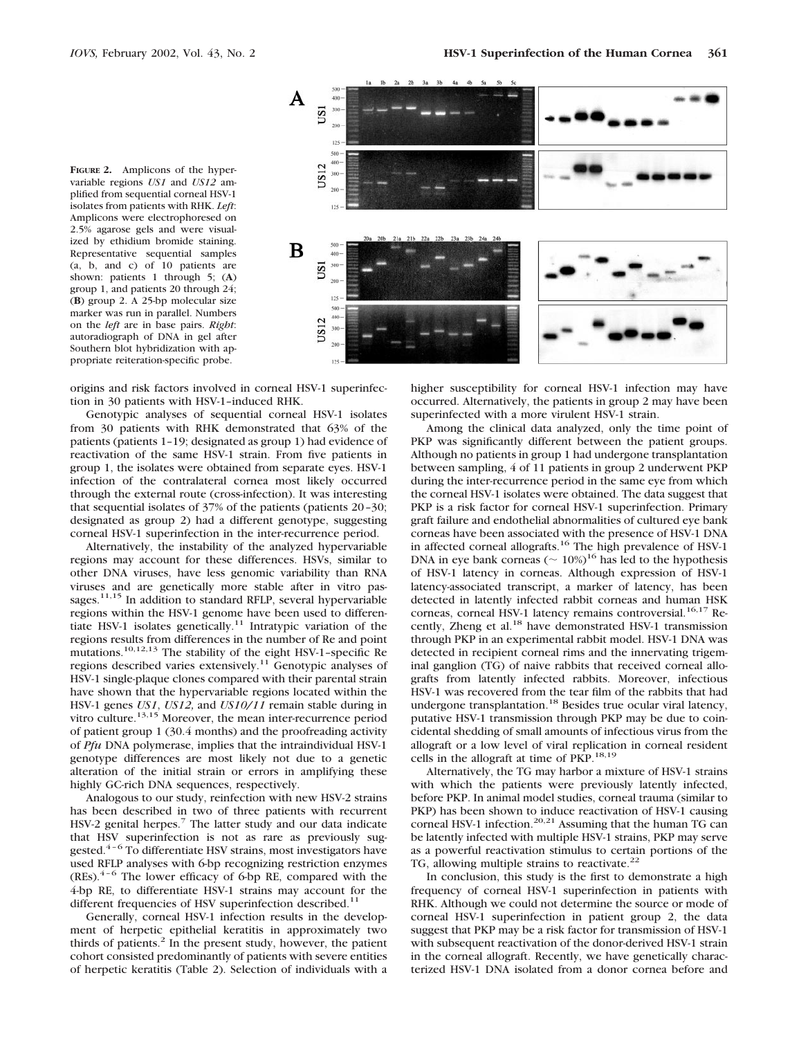**FIGURE 2.** Amplicons of the hypervariable regions *US1* and *US12* amplified from sequential corneal HSV-1 isolates from patients with RHK. *Left*: Amplicons were electrophoresed on 2.5% agarose gels and were visualized by ethidium bromide staining. Representative sequential samples (a, b, and c) of 10 patients are shown: patients 1 through 5; (**A**) group 1, and patients 20 through 24; (**B**) group 2. A 25-bp molecular size marker was run in parallel. Numbers on the *left* are in base pairs. *Right*: autoradiograph of DNA in gel after Southern blot hybridization with appropriate reiteration-specific probe.



origins and risk factors involved in corneal HSV-1 superinfection in 30 patients with HSV-1–induced RHK.

Genotypic analyses of sequential corneal HSV-1 isolates from 30 patients with RHK demonstrated that 63% of the patients (patients 1–19; designated as group 1) had evidence of reactivation of the same HSV-1 strain. From five patients in group 1, the isolates were obtained from separate eyes. HSV-1 infection of the contralateral cornea most likely occurred through the external route (cross-infection). It was interesting that sequential isolates of 37% of the patients (patients 20–30; designated as group 2) had a different genotype, suggesting corneal HSV-1 superinfection in the inter-recurrence period.

Alternatively, the instability of the analyzed hypervariable regions may account for these differences. HSVs, similar to other DNA viruses, have less genomic variability than RNA viruses and are genetically more stable after in vitro passages.<sup>11,15</sup> In addition to standard RFLP, several hypervariable regions within the HSV-1 genome have been used to differentiate HSV-1 isolates genetically.<sup>11</sup> Intratypic variation of the regions results from differences in the number of Re and point mutations.10,12,13 The stability of the eight HSV-1–specific Re regions described varies extensively.11 Genotypic analyses of HSV-1 single-plaque clones compared with their parental strain have shown that the hypervariable regions located within the HSV-1 genes *US1*, *US12,* and *US10/11* remain stable during in vitro culture.<sup>13,15</sup> Moreover, the mean inter-recurrence period of patient group 1 (30.4 months) and the proofreading activity of *Pfu* DNA polymerase, implies that the intraindividual HSV-1 genotype differences are most likely not due to a genetic alteration of the initial strain or errors in amplifying these highly GC-rich DNA sequences, respectively.

Analogous to our study, reinfection with new HSV-2 strains has been described in two of three patients with recurrent HSV-2 genital herpes.<sup>7</sup> The latter study and our data indicate that HSV superinfection is not as rare as previously suggested.4–6 To differentiate HSV strains, most investigators have used RFLP analyses with 6-bp recognizing restriction enzymes  $(REs)^{4-6}$  The lower efficacy of 6-bp RE, compared with the 4-bp RE, to differentiate HSV-1 strains may account for the different frequencies of HSV superinfection described.<sup>11</sup>

Generally, corneal HSV-1 infection results in the development of herpetic epithelial keratitis in approximately two thirds of patients. $2$  In the present study, however, the patient cohort consisted predominantly of patients with severe entities of herpetic keratitis (Table 2). Selection of individuals with a

higher susceptibility for corneal HSV-1 infection may have occurred. Alternatively, the patients in group 2 may have been superinfected with a more virulent HSV-1 strain.

Among the clinical data analyzed, only the time point of PKP was significantly different between the patient groups. Although no patients in group 1 had undergone transplantation between sampling, 4 of 11 patients in group 2 underwent PKP during the inter-recurrence period in the same eye from which the corneal HSV-1 isolates were obtained. The data suggest that PKP is a risk factor for corneal HSV-1 superinfection. Primary graft failure and endothelial abnormalities of cultured eye bank corneas have been associated with the presence of HSV-1 DNA in affected corneal allografts.<sup>16</sup> The high prevalence of HSV-1 DNA in eye bank corneas ( $\sim 10\%$ )<sup>16</sup> has led to the hypothesis of HSV-1 latency in corneas. Although expression of HSV-1 latency-associated transcript, a marker of latency, has been detected in latently infected rabbit corneas and human HSK corneas, corneal HSV-1 latency remains controversial.<sup>16,17</sup> Recently, Zheng et al.18 have demonstrated HSV-1 transmission through PKP in an experimental rabbit model. HSV-1 DNA was detected in recipient corneal rims and the innervating trigeminal ganglion (TG) of naive rabbits that received corneal allografts from latently infected rabbits. Moreover, infectious HSV-1 was recovered from the tear film of the rabbits that had undergone transplantation.18 Besides true ocular viral latency, putative HSV-1 transmission through PKP may be due to coincidental shedding of small amounts of infectious virus from the allograft or a low level of viral replication in corneal resident cells in the allograft at time of PKP.18,19

Alternatively, the TG may harbor a mixture of HSV-1 strains with which the patients were previously latently infected, before PKP. In animal model studies, corneal trauma (similar to PKP) has been shown to induce reactivation of HSV-1 causing corneal HSV-1 infection.<sup>20,21</sup> Assuming that the human TG can be latently infected with multiple HSV-1 strains, PKP may serve as a powerful reactivation stimulus to certain portions of the TG, allowing multiple strains to reactivate.<sup>22</sup>

In conclusion, this study is the first to demonstrate a high frequency of corneal HSV-1 superinfection in patients with RHK. Although we could not determine the source or mode of corneal HSV-1 superinfection in patient group 2, the data suggest that PKP may be a risk factor for transmission of HSV-1 with subsequent reactivation of the donor-derived HSV-1 strain in the corneal allograft. Recently, we have genetically characterized HSV-1 DNA isolated from a donor cornea before and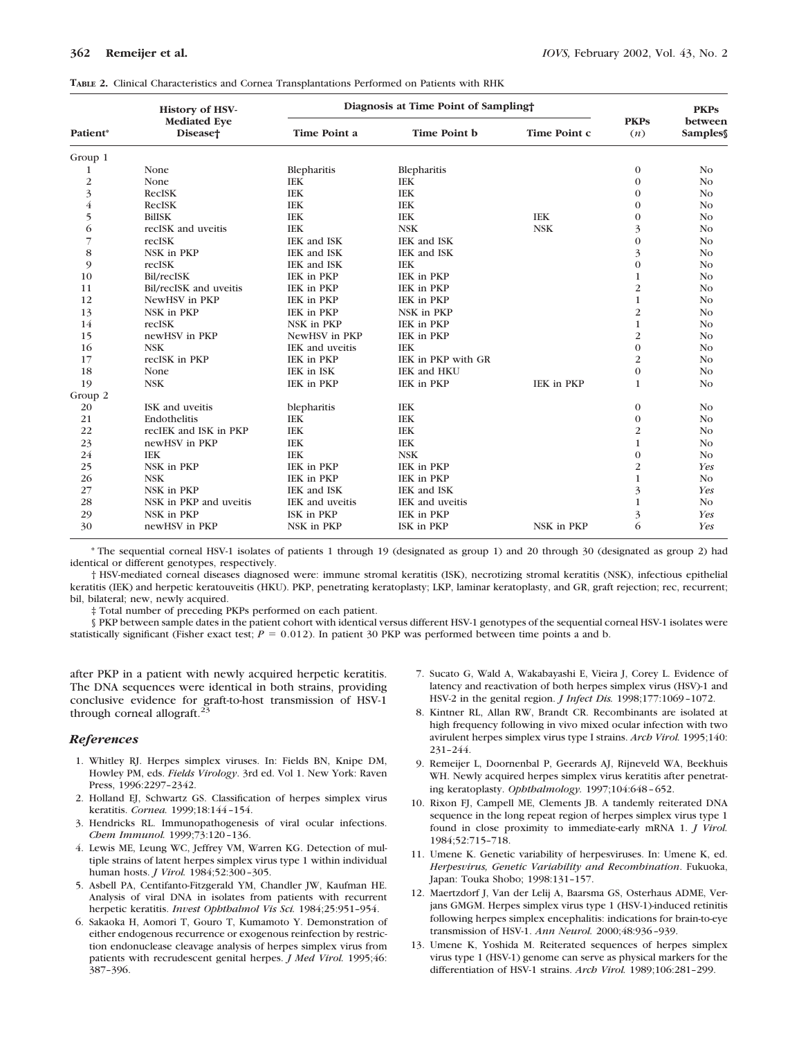|                | <b>History of HSV-</b>                      | Diagnosis at Time Point of Sampling |                    | <b>PKPs</b>       |                    |                    |
|----------------|---------------------------------------------|-------------------------------------|--------------------|-------------------|--------------------|--------------------|
| Patient*       | <b>Mediated Eye</b><br>Disease <sup>+</sup> | <b>Time Point a</b>                 | Time Point b       | Time Point c      | <b>PKPs</b><br>(n) | between<br>Samples |
| Group 1        |                                             |                                     |                    |                   |                    |                    |
| 1              | None                                        | Blepharitis                         | Blepharitis        |                   | $\boldsymbol{0}$   | No                 |
| $\overline{2}$ | None                                        | <b>IEK</b>                          | <b>IEK</b>         |                   | $\mathbf{0}$       | No                 |
| 3              | <b>RecISK</b>                               | <b>IEK</b>                          | <b>IEK</b>         |                   | $\mathbf{0}$       | N <sub>o</sub>     |
| $\overline{4}$ | <b>RecISK</b>                               | <b>IEK</b>                          | <b>IEK</b>         |                   | $\mathbf{0}$       | No                 |
| 5              | <b>BilISK</b>                               | <b>IEK</b>                          | <b>IEK</b>         | <b>IEK</b>        | $\mathbf{0}$       | No                 |
| 6              | recISK and uveitis                          | <b>IEK</b>                          | <b>NSK</b>         | <b>NSK</b>        | 3                  | N <sub>o</sub>     |
| $\overline{7}$ | recISK                                      | IEK and ISK                         | IEK and ISK        |                   | $\overline{0}$     | N <sub>o</sub>     |
| 8              | NSK in PKP                                  | IEK and ISK                         | IEK and ISK        |                   | 3                  | No                 |
| 9              | recISK                                      | IEK and ISK                         | <b>IEK</b>         |                   | $\mathbf{0}$       | No                 |
| 10             | Bil/recISK                                  | IEK in PKP                          | IEK in PKP         |                   | 1                  | N <sub>O</sub>     |
| 11             | Bil/recISK and uveitis                      | IEK in PKP                          | IEK in PKP         |                   | 2                  | No                 |
| 12             | NewHSV in PKP                               | IEK in PKP                          | IEK in PKP         |                   | 1                  | No                 |
| 13             | NSK in PKP                                  | IEK in PKP                          | NSK in PKP         |                   | $\overline{c}$     | N <sub>O</sub>     |
| 14             | recISK                                      | NSK in PKP                          | IEK in PKP         |                   | $\mathbf{1}$       | N <sub>o</sub>     |
| 15             | newHSV in PKP                               | NewHSV in PKP                       | IEK in PKP         |                   | 2                  | No                 |
| 16             | <b>NSK</b>                                  | IEK and uveitis                     | <b>IEK</b>         |                   | $\mathbf{0}$       | No                 |
| 17             | recISK in PKP                               | IEK in PKP                          | IEK in PKP with GR |                   | $\overline{c}$     | N <sub>O</sub>     |
| 18             | None                                        | IEK in ISK                          | IEK and HKU        |                   | $\mathbf{0}$       | No                 |
| 19             | <b>NSK</b>                                  | IEK in PKP                          | IEK in PKP         | <b>IEK in PKP</b> | $\mathbf{1}$       | N <sub>o</sub>     |
| Group 2        |                                             |                                     |                    |                   |                    |                    |
| 20             | ISK and uveitis                             | blepharitis                         | <b>IEK</b>         |                   | $\mathbf{0}$       | N <sub>o</sub>     |
| 21             | Endothelitis                                | <b>IEK</b>                          | <b>IEK</b>         |                   | $\boldsymbol{0}$   | N <sub>o</sub>     |
| 22             | recIEK and ISK in PKP                       | <b>IEK</b>                          | <b>IEK</b>         |                   | 2                  | N <sub>O</sub>     |
| 23             | newHSV in PKP                               | <b>IEK</b>                          | <b>IEK</b>         |                   | $\mathbf{1}$       | N <sub>O</sub>     |
| 24             | <b>IEK</b>                                  | <b>IEK</b>                          | <b>NSK</b>         |                   | $\mathbf{0}$       | N <sub>O</sub>     |
| 25             | NSK in PKP                                  | IEK in PKP                          | IEK in PKP         |                   | $\overline{c}$     | Yes                |
| 26             | <b>NSK</b>                                  | IEK in PKP                          | IEK in PKP         |                   | $\mathbf{1}$       | N <sub>O</sub>     |
| 27             | NSK in PKP                                  | IEK and ISK                         | IEK and ISK        |                   | 3                  | Yes                |
| 28             | NSK in PKP and uveitis                      | IEK and uveitis                     | IEK and uveitis    |                   | $\mathbf{1}$       | No                 |
| 29             | NSK in PKP                                  | ISK in PKP                          | IEK in PKP         |                   | 3                  | Yes                |
| 30             | newHSV in PKP                               | NSK in PKP                          | ISK in PKP         | NSK in PKP        | 6                  | Yes                |

\* The sequential corneal HSV-1 isolates of patients 1 through 19 (designated as group 1) and 20 through 30 (designated as group 2) had identical or different genotypes, respectively.

† HSV-mediated corneal diseases diagnosed were: immune stromal keratitis (ISK), necrotizing stromal keratitis (NSK), infectious epithelial keratitis (IEK) and herpetic keratouveitis (HKU). PKP, penetrating keratoplasty; LKP, laminar keratoplasty, and GR, graft rejection; rec, recurrent; bil, bilateral; new, newly acquired.

‡ Total number of preceding PKPs performed on each patient.

§ PKP between sample dates in the patient cohort with identical versus different HSV-1 genotypes of the sequential corneal HSV-1 isolates were statistically significant (Fisher exact test;  $P = 0.012$ ). In patient 30 PKP was performed between time points a and b.

after PKP in a patient with newly acquired herpetic keratitis. The DNA sequences were identical in both strains, providing conclusive evidence for graft-to-host transmission of HSV-1 through corneal allograft.<sup>3</sup>

## *References*

- 1. Whitley RJ. Herpes simplex viruses. In: Fields BN, Knipe DM, Howley PM, eds. *Fields Virology*. 3rd ed. Vol 1. New York: Raven Press, 1996:2297–2342.
- 2. Holland EJ, Schwartz GS. Classification of herpes simplex virus keratitis. *Cornea.* 1999;18:144–154.
- 3. Hendricks RL. Immunopathogenesis of viral ocular infections. *Chem Immunol.* 1999;73:120–136.
- 4. Lewis ME, Leung WC, Jeffrey VM, Warren KG. Detection of multiple strains of latent herpes simplex virus type 1 within individual human hosts. *J Virol.* 1984;52:300–305.
- 5. Asbell PA, Centifanto-Fitzgerald YM, Chandler JW, Kaufman HE. Analysis of viral DNA in isolates from patients with recurrent herpetic keratitis. *Invest Ophthalmol Vis Sci.* 1984;25:951–954.
- 6. Sakaoka H, Aomori T, Gouro T, Kumamoto Y. Demonstration of either endogenous recurrence or exogenous reinfection by restriction endonuclease cleavage analysis of herpes simplex virus from patients with recrudescent genital herpes. *J Med Virol.* 1995;46: 387–396.
- 7. Sucato G, Wald A, Wakabayashi E, Vieira J, Corey L. Evidence of latency and reactivation of both herpes simplex virus (HSV)-1 and HSV-2 in the genital region. *J Infect Dis.* 1998;177:1069–1072.
- 8. Kintner RL, Allan RW, Brandt CR. Recombinants are isolated at high frequency following in vivo mixed ocular infection with two avirulent herpes simplex virus type I strains. *Arch Virol.* 1995;140: 231–244.
- 9. Remeijer L, Doornenbal P, Geerards AJ, Rijneveld WA, Beekhuis WH. Newly acquired herpes simplex virus keratitis after penetrating keratoplasty. *Ophthalmology.* 1997;104:648–652.
- 10. Rixon FJ, Campell ME, Clements JB. A tandemly reiterated DNA sequence in the long repeat region of herpes simplex virus type 1 found in close proximity to immediate-early mRNA 1. *J Virol.* 1984;52:715–718.
- 11. Umene K. Genetic variability of herpesviruses. In: Umene K, ed. *Herpesvirus, Genetic Variability and Recombination*. Fukuoka, Japan: Touka Shobo; 1998:131–157.
- 12. Maertzdorf J, Van der Lelij A, Baarsma GS, Osterhaus ADME, Verjans GMGM. Herpes simplex virus type 1 (HSV-1)-induced retinitis following herpes simplex encephalitis: indications for brain-to-eye transmission of HSV-1. *Ann Neurol.* 2000;48:936–939.
- 13. Umene K, Yoshida M. Reiterated sequences of herpes simplex virus type 1 (HSV-1) genome can serve as physical markers for the differentiation of HSV-1 strains. *Arch Virol.* 1989;106:281–299.